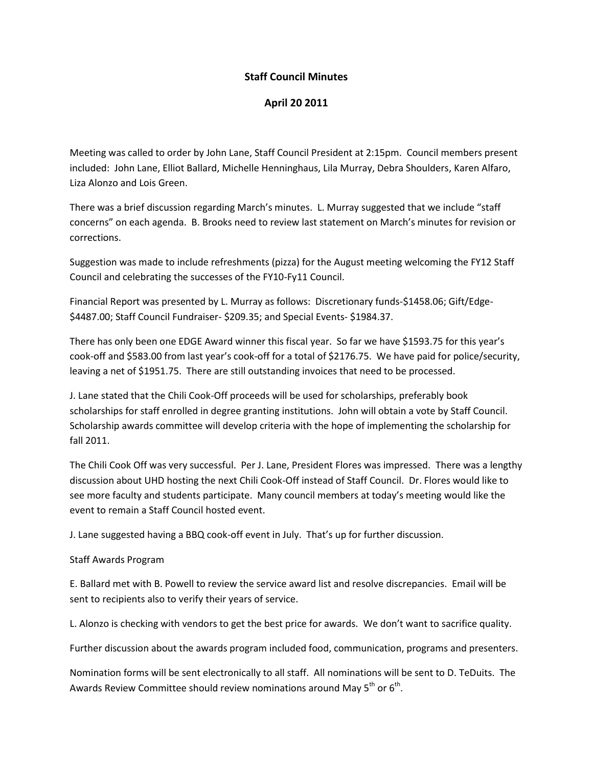## **Staff Council Minutes**

## **April 20 2011**

Meeting was called to order by John Lane, Staff Council President at 2:15pm. Council members present included: John Lane, Elliot Ballard, Michelle Henninghaus, Lila Murray, Debra Shoulders, Karen Alfaro, Liza Alonzo and Lois Green.

There was a brief discussion regarding March's minutes. L. Murray suggested that we include "staff concerns" on each agenda. B. Brooks need to review last statement on March's minutes for revision or corrections.

Suggestion was made to include refreshments (pizza) for the August meeting welcoming the FY12 Staff Council and celebrating the successes of the FY10-Fy11 Council.

Financial Report was presented by L. Murray as follows: Discretionary funds-\$1458.06; Gift/Edge- \$4487.00; Staff Council Fundraiser- \$209.35; and Special Events- \$1984.37.

There has only been one EDGE Award winner this fiscal year. So far we have \$1593.75 for this year's cook-off and \$583.00 from last year's cook-off for a total of \$2176.75. We have paid for police/security, leaving a net of \$1951.75. There are still outstanding invoices that need to be processed.

J. Lane stated that the Chili Cook-Off proceeds will be used for scholarships, preferably book scholarships for staff enrolled in degree granting institutions. John will obtain a vote by Staff Council. Scholarship awards committee will develop criteria with the hope of implementing the scholarship for fall 2011.

The Chili Cook Off was very successful. Per J. Lane, President Flores was impressed. There was a lengthy discussion about UHD hosting the next Chili Cook-Off instead of Staff Council. Dr. Flores would like to see more faculty and students participate. Many council members at today's meeting would like the event to remain a Staff Council hosted event.

J. Lane suggested having a BBQ cook-off event in July. That's up for further discussion.

## Staff Awards Program

E. Ballard met with B. Powell to review the service award list and resolve discrepancies. Email will be sent to recipients also to verify their years of service.

L. Alonzo is checking with vendors to get the best price for awards. We don't want to sacrifice quality.

Further discussion about the awards program included food, communication, programs and presenters.

Nomination forms will be sent electronically to all staff. All nominations will be sent to D. TeDuits. The Awards Review Committee should review nominations around May 5<sup>th</sup> or 6<sup>th</sup>.